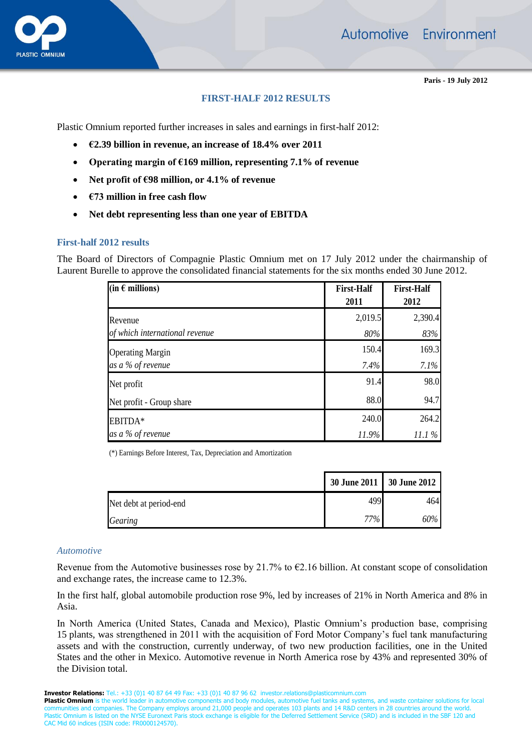Automotive Environment



**Paris - 19 July 2012**

# **FIRST-HALF 2012 RESULTS**

Plastic Omnium reported further increases in sales and earnings in first-half 2012:

- **€2.39 billion in revenue, an increase of 18.4% over 2011**
- **Operating margin of €169 million, representing 7.1% of revenue**
- **Net profit of €98 million, or 4.1% of revenue**
- **€73 million in free cash flow**
- **Net debt representing less than one year of EBITDA**

## **First-half 2012 results**

The Board of Directors of Compagnie Plastic Omnium met on 17 July 2012 under the chairmanship of Laurent Burelle to approve the consolidated financial statements for the six months ended 30 June 2012.

| (in $\epsilon$ millions)       | <b>First-Half</b><br>2011 | <b>First-Half</b><br>2012 |
|--------------------------------|---------------------------|---------------------------|
| Revenue                        | 2,019.5                   | 2,390.4                   |
| of which international revenue | $80\%$                    | 83%                       |
| <b>Operating Margin</b>        | 150.4                     | 169.3                     |
| as a % of revenue              | 7.4%                      | 7.1%                      |
| Net profit                     | 91.4                      | 98.0                      |
| Net profit - Group share       | 88.0                      | 94.7                      |
| EBITDA*                        | 240.0                     | 264.2                     |
| as a % of revenue              | 11.9%                     | 11.1%                     |

(\*) Earnings Before Interest, Tax, Depreciation and Amortization

|                        | 30 June 2011 30 June 2012 |      |
|------------------------|---------------------------|------|
| Net debt at period-end | 499                       | 4641 |
| <b>Gearing</b>         | $77\%$                    | 60%  |

#### *Automotive*

Revenue from the Automotive businesses rose by 21.7% to  $\epsilon$ 2.16 billion. At constant scope of consolidation and exchange rates, the increase came to 12.3%.

In the first half, global automobile production rose 9%, led by increases of 21% in North America and 8% in Asia.

In North America (United States, Canada and Mexico), Plastic Omnium's production base, comprising 15 plants, was strengthened in 2011 with the acquisition of Ford Motor Company's fuel tank manufacturing assets and with the construction, currently underway, of two new production facilities, one in the United States and the other in Mexico. Automotive revenue in North America rose by 43% and represented 30% of the Division total.

**Investor Relations:** Tel.: +33 (0)1 40 87 64 49 Fax: +33 (0)1 40 87 96 62 investor.relations@plasticomnium.com

**Plastic Omnium** is the world leader in automotive components and body modules, automotive fuel tanks and systems, and waste container solutions for local communities and companies. The Company employs around 21,000 people and operates 103 plants and 14 R&D centers in 28 countries around the world. Plastic Omnium is listed on the NYSE Euronext Paris stock exchange is eligible for the Deferred Settlement Service (SRD) and is included in the SBF 120 and CAC Mid 60 indices (ISIN code: FR0000124570).